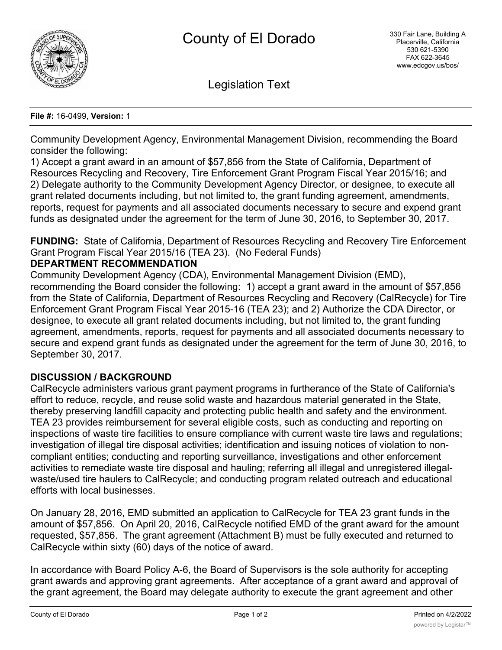

Legislation Text

#### **File #:** 16-0499, **Version:** 1

Community Development Agency, Environmental Management Division, recommending the Board consider the following:

1) Accept a grant award in an amount of \$57,856 from the State of California, Department of Resources Recycling and Recovery, Tire Enforcement Grant Program Fiscal Year 2015/16; and 2) Delegate authority to the Community Development Agency Director, or designee, to execute all grant related documents including, but not limited to, the grant funding agreement, amendments, reports, request for payments and all associated documents necessary to secure and expend grant funds as designated under the agreement for the term of June 30, 2016, to September 30, 2017.

**FUNDING:** State of California, Department of Resources Recycling and Recovery Tire Enforcement Grant Program Fiscal Year 2015/16 (TEA 23). (No Federal Funds)

## **DEPARTMENT RECOMMENDATION**

Community Development Agency (CDA), Environmental Management Division (EMD), recommending the Board consider the following: 1) accept a grant award in the amount of \$57,856 from the State of California, Department of Resources Recycling and Recovery (CalRecycle) for Tire Enforcement Grant Program Fiscal Year 2015-16 (TEA 23); and 2) Authorize the CDA Director, or designee, to execute all grant related documents including, but not limited to, the grant funding agreement, amendments, reports, request for payments and all associated documents necessary to secure and expend grant funds as designated under the agreement for the term of June 30, 2016, to September 30, 2017.

# **DISCUSSION / BACKGROUND**

CalRecycle administers various grant payment programs in furtherance of the State of California's effort to reduce, recycle, and reuse solid waste and hazardous material generated in the State, thereby preserving landfill capacity and protecting public health and safety and the environment. TEA 23 provides reimbursement for several eligible costs, such as conducting and reporting on inspections of waste tire facilities to ensure compliance with current waste tire laws and regulations; investigation of illegal tire disposal activities; identification and issuing notices of violation to noncompliant entities; conducting and reporting surveillance, investigations and other enforcement activities to remediate waste tire disposal and hauling; referring all illegal and unregistered illegalwaste/used tire haulers to CalRecycle; and conducting program related outreach and educational efforts with local businesses.

On January 28, 2016, EMD submitted an application to CalRecycle for TEA 23 grant funds in the amount of \$57,856. On April 20, 2016, CalRecycle notified EMD of the grant award for the amount requested, \$57,856. The grant agreement (Attachment B) must be fully executed and returned to CalRecycle within sixty (60) days of the notice of award.

In accordance with Board Policy A-6, the Board of Supervisors is the sole authority for accepting grant awards and approving grant agreements. After acceptance of a grant award and approval of the grant agreement, the Board may delegate authority to execute the grant agreement and other